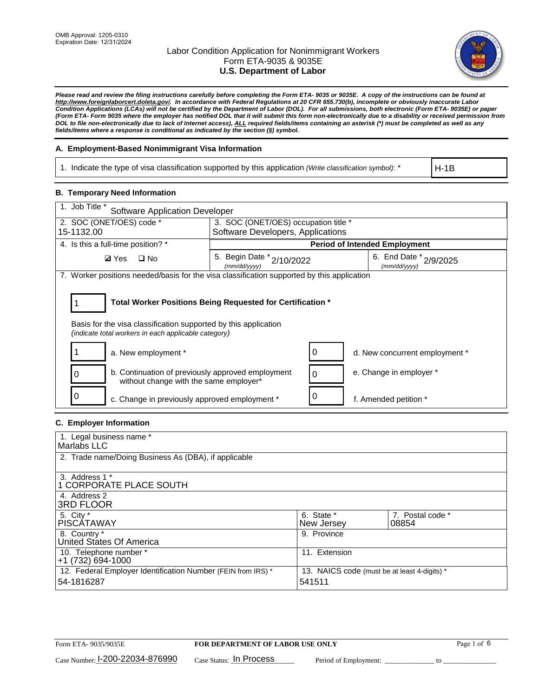

*Please read and review the filing instructions carefully before completing the Form ETA- 9035 or 9035E. A copy of the instructions can be found at http://www.foreignlaborcert.doleta.gov/. In accordance with Federal Regulations at 20 CFR 655.730(b), incomplete or obviously inaccurate Labor Condition Applications (LCAs) will not be certified by the Department of Labor (DOL). For all submissions, both electronic (Form ETA- 9035E) or paper (Form ETA- Form 9035 where the employer has notified DOL that it will submit this form non-electronically due to a disability or received permission from DOL to file non-electronically due to lack of Internet access), ALL required fields/items containing an asterisk (\*) must be completed as well as any fields/items where a response is conditional as indicated by the section (§) symbol.* 

### **A. Employment-Based Nonimmigrant Visa Information**

1. Indicate the type of visa classification supported by this application *(Write classification symbol)*: \*

H-1B

#### **B. Temporary Need Information**

| 1. Job Title *<br><b>Software Application Developer</b>                                                                                                                               |                                           |   |                                        |  |  |  |
|---------------------------------------------------------------------------------------------------------------------------------------------------------------------------------------|-------------------------------------------|---|----------------------------------------|--|--|--|
| 2. SOC (ONET/OES) code *                                                                                                                                                              | 3. SOC (ONET/OES) occupation title *      |   |                                        |  |  |  |
| 15-1132.00                                                                                                                                                                            | Software Developers, Applications         |   |                                        |  |  |  |
| 4. Is this a full-time position? *                                                                                                                                                    |                                           |   | <b>Period of Intended Employment</b>   |  |  |  |
| $\Box$ No<br><b>Ø</b> Yes                                                                                                                                                             | 5. Begin Date * 2/10/2022<br>(mm/dd/yyyy) |   | 6. End Date * 2/9/2025<br>(mm/dd/yyyy) |  |  |  |
| 7. Worker positions needed/basis for the visa classification supported by this application                                                                                            |                                           |   |                                        |  |  |  |
| Total Worker Positions Being Requested for Certification *<br>Basis for the visa classification supported by this application<br>(indicate total workers in each applicable category) |                                           |   |                                        |  |  |  |
| a. New employment *                                                                                                                                                                   |                                           | 0 | d. New concurrent employment *         |  |  |  |
| b. Continuation of previously approved employment<br>without change with the same employer*                                                                                           |                                           | 0 | e. Change in employer *                |  |  |  |
| c. Change in previously approved employment *                                                                                                                                         |                                           |   | f. Amended petition *                  |  |  |  |

### **C. Employer Information**

| 1. Legal business name *                                     |                                              |                  |  |
|--------------------------------------------------------------|----------------------------------------------|------------------|--|
| Marlabs LLC                                                  |                                              |                  |  |
| 2. Trade name/Doing Business As (DBA), if applicable         |                                              |                  |  |
|                                                              |                                              |                  |  |
| 3. Address 1 *                                               |                                              |                  |  |
| 1 CORPORATE PLACE SOUTH                                      |                                              |                  |  |
| 4. Address 2                                                 |                                              |                  |  |
| <b>3RD FLOOR</b>                                             |                                              |                  |  |
| 5. City *                                                    | 6. State *                                   | 7. Postal code * |  |
| PISCÁTAWAY                                                   | New Jersey                                   | 08854            |  |
| 8. Country *                                                 | 9. Province                                  |                  |  |
| United States Of America                                     |                                              |                  |  |
| 10. Telephone number *                                       | 11. Extension                                |                  |  |
| $+1(732)694-1000$                                            |                                              |                  |  |
| 12. Federal Employer Identification Number (FEIN from IRS) * | 13. NAICS code (must be at least 4-digits) * |                  |  |
| 54-1816287                                                   | 541511                                       |                  |  |
|                                                              |                                              |                  |  |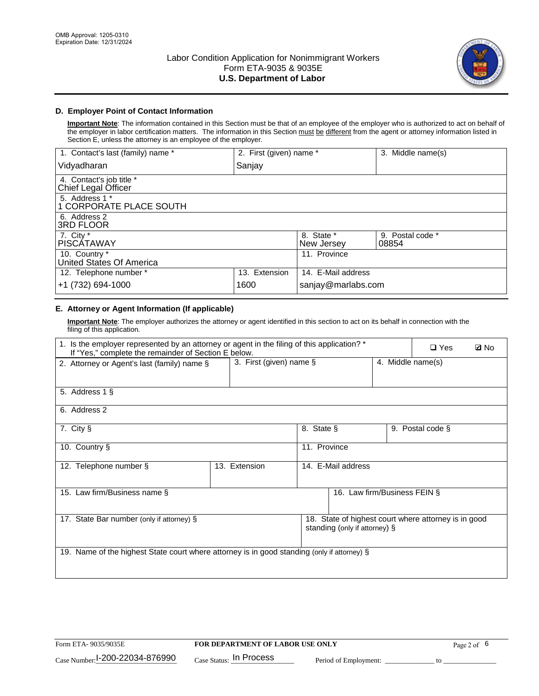

### **D. Employer Point of Contact Information**

**Important Note**: The information contained in this Section must be that of an employee of the employer who is authorized to act on behalf of the employer in labor certification matters. The information in this Section must be different from the agent or attorney information listed in Section E, unless the attorney is an employee of the employer.

| 1. Contact's last (family) name *               | 2. First (given) name * |                          | 3. Middle name(s)         |
|-------------------------------------------------|-------------------------|--------------------------|---------------------------|
| Vidyadharan                                     | Sanjay                  |                          |                           |
| 4. Contact's job title *<br>Chief Legal Officer |                         |                          |                           |
| 5. Address 1 *<br>1 CORPORATE PLACE SOUTH       |                         |                          |                           |
| 6. Address 2<br><b>3RD FLOOR</b>                |                         |                          |                           |
| 7. City *<br><b>PISCÁTAWAY</b>                  |                         | 8. State *<br>New Jersey | 9. Postal code *<br>08854 |
| 10. Country *<br>United States Of America       |                         | 11. Province             |                           |
| 12. Telephone number *                          | 13. Extension           | 14. E-Mail address       |                           |
| +1 (732) 694-1000                               | 1600                    | sanjay@marlabs.com       |                           |

# **E. Attorney or Agent Information (If applicable)**

**Important Note**: The employer authorizes the attorney or agent identified in this section to act on its behalf in connection with the filing of this application.

| 1. Is the employer represented by an attorney or agent in the filing of this application? *<br>If "Yes," complete the remainder of Section E below. |                            |                    |                               | $\Box$ Yes        | <b>Ø</b> No                                          |  |
|-----------------------------------------------------------------------------------------------------------------------------------------------------|----------------------------|--------------------|-------------------------------|-------------------|------------------------------------------------------|--|
| 2. Attorney or Agent's last (family) name §                                                                                                         | 3. First (given) name $\S$ |                    |                               | 4. Middle name(s) |                                                      |  |
| 5. Address 1 §                                                                                                                                      |                            |                    |                               |                   |                                                      |  |
| 6. Address 2                                                                                                                                        |                            |                    |                               |                   |                                                      |  |
| 7. City §                                                                                                                                           |                            | 8. State §         |                               |                   | 9. Postal code §                                     |  |
| 10. Country §                                                                                                                                       |                            | 11. Province       |                               |                   |                                                      |  |
| 12. Telephone number §                                                                                                                              | 13. Extension              | 14. E-Mail address |                               |                   |                                                      |  |
| 15. Law firm/Business name §                                                                                                                        |                            |                    | 16. Law firm/Business FEIN §  |                   |                                                      |  |
| 17. State Bar number (only if attorney) §                                                                                                           |                            |                    | standing (only if attorney) § |                   | 18. State of highest court where attorney is in good |  |
| 19. Name of the highest State court where attorney is in good standing (only if attorney) §                                                         |                            |                    |                               |                   |                                                      |  |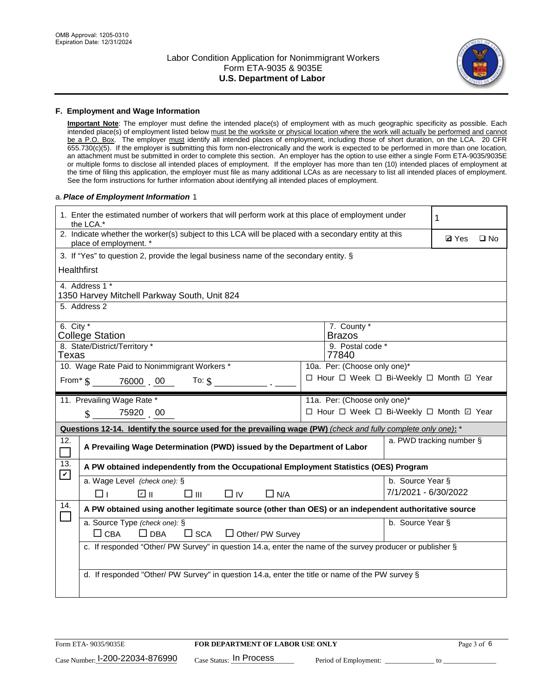

#### **F. Employment and Wage Information**

**Important Note**: The employer must define the intended place(s) of employment with as much geographic specificity as possible. Each intended place(s) of employment listed below must be the worksite or physical location where the work will actually be performed and cannot be a P.O. Box. The employer must identify all intended places of employment, including those of short duration, on the LCA. 20 CFR 655.730(c)(5). If the employer is submitting this form non-electronically and the work is expected to be performed in more than one location, an attachment must be submitted in order to complete this section. An employer has the option to use either a single Form ETA-9035/9035E or multiple forms to disclose all intended places of employment. If the employer has more than ten (10) intended places of employment at the time of filing this application, the employer must file as many additional LCAs as are necessary to list all intended places of employment. See the form instructions for further information about identifying all intended places of employment.

#### a.*Place of Employment Information* 1

| 1. Enter the estimated number of workers that will perform work at this place of employment under<br>the LCA.* |                                                                                                                                |  |                                          |                      | 1            |              |  |  |
|----------------------------------------------------------------------------------------------------------------|--------------------------------------------------------------------------------------------------------------------------------|--|------------------------------------------|----------------------|--------------|--------------|--|--|
|                                                                                                                | 2. Indicate whether the worker(s) subject to this LCA will be placed with a secondary entity at this<br>place of employment. * |  |                                          |                      | <b>Ø</b> Yes | $\square$ No |  |  |
|                                                                                                                | 3. If "Yes" to question 2, provide the legal business name of the secondary entity. §                                          |  |                                          |                      |              |              |  |  |
| <b>Healthfirst</b>                                                                                             |                                                                                                                                |  |                                          |                      |              |              |  |  |
|                                                                                                                | 4. Address 1 *<br>1350 Harvey Mitchell Parkway South, Unit 824                                                                 |  |                                          |                      |              |              |  |  |
|                                                                                                                | 5. Address 2                                                                                                                   |  |                                          |                      |              |              |  |  |
| 6. City $*$                                                                                                    | <b>College Station</b>                                                                                                         |  | 7. County *<br><b>Brazos</b>             |                      |              |              |  |  |
|                                                                                                                | 8. State/District/Territory *                                                                                                  |  | 9. Postal code *                         |                      |              |              |  |  |
| Texas                                                                                                          |                                                                                                                                |  | 77840                                    |                      |              |              |  |  |
|                                                                                                                | 10. Wage Rate Paid to Nonimmigrant Workers *                                                                                   |  | 10a. Per: (Choose only one)*             |                      |              |              |  |  |
|                                                                                                                | From $\text{\$}$ 76000 00 To: $\text{\$}$                                                                                      |  | □ Hour □ Week □ Bi-Weekly □ Month □ Year |                      |              |              |  |  |
|                                                                                                                | 11. Prevailing Wage Rate *                                                                                                     |  | 11a. Per: (Choose only one)*             |                      |              |              |  |  |
|                                                                                                                | 75920 00<br>$\mathcal{S}$                                                                                                      |  | □ Hour □ Week □ Bi-Weekly □ Month ☑ Year |                      |              |              |  |  |
|                                                                                                                | Questions 12-14. Identify the source used for the prevailing wage (PW) (check and fully complete only one): *                  |  |                                          |                      |              |              |  |  |
| 12.                                                                                                            | a. PWD tracking number §<br>A Prevailing Wage Determination (PWD) issued by the Department of Labor                            |  |                                          |                      |              |              |  |  |
| 13.<br>$\blacktriangledown$                                                                                    | A PW obtained independently from the Occupational Employment Statistics (OES) Program                                          |  |                                          |                      |              |              |  |  |
|                                                                                                                | a. Wage Level (check one): §                                                                                                   |  |                                          | b. Source Year §     |              |              |  |  |
|                                                                                                                | ☑ ⊪<br>$\square$ $\square$<br>□⊥<br>$\Box$ IV<br>$\Box$ N/A                                                                    |  |                                          | 7/1/2021 - 6/30/2022 |              |              |  |  |
| 14.                                                                                                            | A PW obtained using another legitimate source (other than OES) or an independent authoritative source                          |  |                                          |                      |              |              |  |  |
|                                                                                                                | a. Source Type (check one): §<br>b. Source Year §                                                                              |  |                                          |                      |              |              |  |  |
|                                                                                                                | $\Box$ CBA<br>$\Box$ DBA<br>$\square$ SCA<br>$\Box$ Other/ PW Survey                                                           |  |                                          |                      |              |              |  |  |
|                                                                                                                | c. If responded "Other/ PW Survey" in question 14.a, enter the name of the survey producer or publisher §                      |  |                                          |                      |              |              |  |  |
|                                                                                                                |                                                                                                                                |  |                                          |                      |              |              |  |  |
|                                                                                                                | d. If responded "Other/ PW Survey" in question 14.a, enter the title or name of the PW survey §                                |  |                                          |                      |              |              |  |  |
|                                                                                                                |                                                                                                                                |  |                                          |                      |              |              |  |  |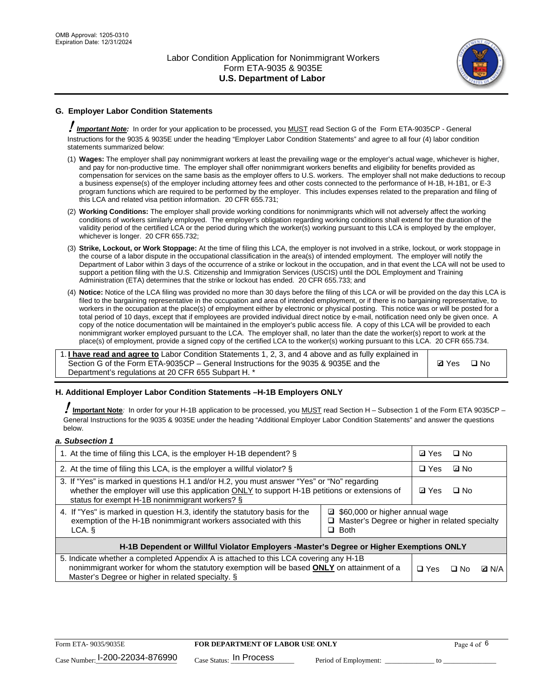

# **G. Employer Labor Condition Statements**

! *Important Note:* In order for your application to be processed, you MUST read Section G of the Form ETA-9035CP - General Instructions for the 9035 & 9035E under the heading "Employer Labor Condition Statements" and agree to all four (4) labor condition statements summarized below:

- (1) **Wages:** The employer shall pay nonimmigrant workers at least the prevailing wage or the employer's actual wage, whichever is higher, and pay for non-productive time. The employer shall offer nonimmigrant workers benefits and eligibility for benefits provided as compensation for services on the same basis as the employer offers to U.S. workers. The employer shall not make deductions to recoup a business expense(s) of the employer including attorney fees and other costs connected to the performance of H-1B, H-1B1, or E-3 program functions which are required to be performed by the employer. This includes expenses related to the preparation and filing of this LCA and related visa petition information. 20 CFR 655.731;
- (2) **Working Conditions:** The employer shall provide working conditions for nonimmigrants which will not adversely affect the working conditions of workers similarly employed. The employer's obligation regarding working conditions shall extend for the duration of the validity period of the certified LCA or the period during which the worker(s) working pursuant to this LCA is employed by the employer, whichever is longer. 20 CFR 655.732;
- (3) **Strike, Lockout, or Work Stoppage:** At the time of filing this LCA, the employer is not involved in a strike, lockout, or work stoppage in the course of a labor dispute in the occupational classification in the area(s) of intended employment. The employer will notify the Department of Labor within 3 days of the occurrence of a strike or lockout in the occupation, and in that event the LCA will not be used to support a petition filing with the U.S. Citizenship and Immigration Services (USCIS) until the DOL Employment and Training Administration (ETA) determines that the strike or lockout has ended. 20 CFR 655.733; and
- (4) **Notice:** Notice of the LCA filing was provided no more than 30 days before the filing of this LCA or will be provided on the day this LCA is filed to the bargaining representative in the occupation and area of intended employment, or if there is no bargaining representative, to workers in the occupation at the place(s) of employment either by electronic or physical posting. This notice was or will be posted for a total period of 10 days, except that if employees are provided individual direct notice by e-mail, notification need only be given once. A copy of the notice documentation will be maintained in the employer's public access file. A copy of this LCA will be provided to each nonimmigrant worker employed pursuant to the LCA. The employer shall, no later than the date the worker(s) report to work at the place(s) of employment, provide a signed copy of the certified LCA to the worker(s) working pursuant to this LCA. 20 CFR 655.734.

1. **I have read and agree to** Labor Condition Statements 1, 2, 3, and 4 above and as fully explained in Section G of the Form ETA-9035CP – General Instructions for the 9035 & 9035E and the Department's regulations at 20 CFR 655 Subpart H. \*

**Ø**Yes ロNo

#### **H. Additional Employer Labor Condition Statements –H-1B Employers ONLY**

!**Important Note***:* In order for your H-1B application to be processed, you MUST read Section H – Subsection 1 of the Form ETA 9035CP – General Instructions for the 9035 & 9035E under the heading "Additional Employer Labor Condition Statements" and answer the questions below.

#### *a. Subsection 1*

| 1. At the time of filing this LCA, is the employer H-1B dependent? §                                                                                                                                                                                          |  |  | $\square$ No |              |
|---------------------------------------------------------------------------------------------------------------------------------------------------------------------------------------------------------------------------------------------------------------|--|--|--------------|--------------|
| 2. At the time of filing this LCA, is the employer a willful violator? $\S$                                                                                                                                                                                   |  |  | ⊡ No         |              |
| 3. If "Yes" is marked in questions H.1 and/or H.2, you must answer "Yes" or "No" regarding<br>whether the employer will use this application ONLY to support H-1B petitions or extensions of<br>status for exempt H-1B nonimmigrant workers? §                |  |  | $\Box$ No    |              |
| 4. If "Yes" is marked in question H.3, identify the statutory basis for the<br>■ \$60,000 or higher annual wage<br>exemption of the H-1B nonimmigrant workers associated with this<br>□ Master's Degree or higher in related specialty<br>$\Box$ Both<br>LCA. |  |  |              |              |
| H-1B Dependent or Willful Violator Employers -Master's Degree or Higher Exemptions ONLY                                                                                                                                                                       |  |  |              |              |
| 5. Indicate whether a completed Appendix A is attached to this LCA covering any H-1B<br>nonimmigrant worker for whom the statutory exemption will be based <b>ONLY</b> on attainment of a<br>Master's Degree or higher in related specialty. §                |  |  | ⊡ No         | <b>Q</b> N/A |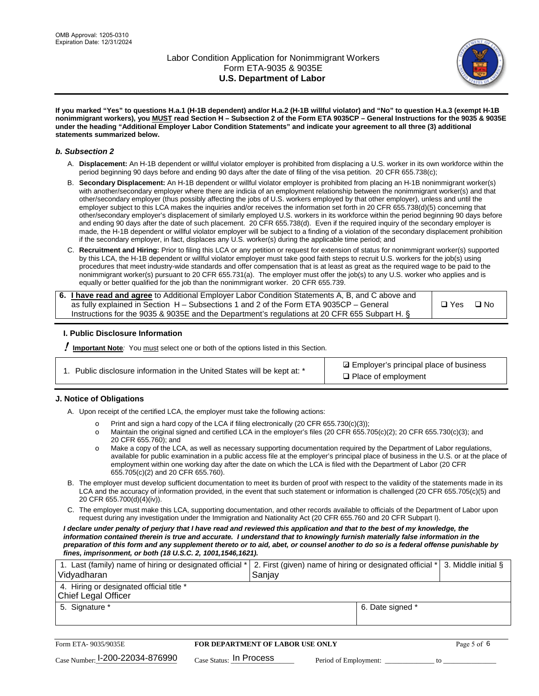

**If you marked "Yes" to questions H.a.1 (H-1B dependent) and/or H.a.2 (H-1B willful violator) and "No" to question H.a.3 (exempt H-1B nonimmigrant workers), you MUST read Section H – Subsection 2 of the Form ETA 9035CP – General Instructions for the 9035 & 9035E under the heading "Additional Employer Labor Condition Statements" and indicate your agreement to all three (3) additional statements summarized below.**

#### *b. Subsection 2*

- A. **Displacement:** An H-1B dependent or willful violator employer is prohibited from displacing a U.S. worker in its own workforce within the period beginning 90 days before and ending 90 days after the date of filing of the visa petition. 20 CFR 655.738(c);
- B. **Secondary Displacement:** An H-1B dependent or willful violator employer is prohibited from placing an H-1B nonimmigrant worker(s) with another/secondary employer where there are indicia of an employment relationship between the nonimmigrant worker(s) and that other/secondary employer (thus possibly affecting the jobs of U.S. workers employed by that other employer), unless and until the employer subject to this LCA makes the inquiries and/or receives the information set forth in 20 CFR 655.738(d)(5) concerning that other/secondary employer's displacement of similarly employed U.S. workers in its workforce within the period beginning 90 days before and ending 90 days after the date of such placement. 20 CFR 655.738(d). Even if the required inquiry of the secondary employer is made, the H-1B dependent or willful violator employer will be subject to a finding of a violation of the secondary displacement prohibition if the secondary employer, in fact, displaces any U.S. worker(s) during the applicable time period; and
- C. **Recruitment and Hiring:** Prior to filing this LCA or any petition or request for extension of status for nonimmigrant worker(s) supported by this LCA, the H-1B dependent or willful violator employer must take good faith steps to recruit U.S. workers for the job(s) using procedures that meet industry-wide standards and offer compensation that is at least as great as the required wage to be paid to the nonimmigrant worker(s) pursuant to 20 CFR 655.731(a). The employer must offer the job(s) to any U.S. worker who applies and is equally or better qualified for the job than the nonimmigrant worker. 20 CFR 655.739.

| 6. I have read and agree to Additional Employer Labor Condition Statements A, B, and C above and |       |           |
|--------------------------------------------------------------------------------------------------|-------|-----------|
| as fully explained in Section H – Subsections 1 and 2 of the Form ETA 9035CP – General           | □ Yes | $\Box$ No |
| Instructions for the 9035 & 9035E and the Department's regulations at 20 CFR 655 Subpart H. §    |       |           |

#### **I. Public Disclosure Information**

! **Important Note***:* You must select one or both of the options listed in this Section.

**sqrt** Employer's principal place of business □ Place of employment

#### **J. Notice of Obligations**

A. Upon receipt of the certified LCA, the employer must take the following actions:

- o Print and sign a hard copy of the LCA if filing electronically (20 CFR 655.730(c)(3));<br>
Maintain the original signed and certified LCA in the employer's files (20 CFR 655.7
- Maintain the original signed and certified LCA in the employer's files (20 CFR 655.705(c)(2); 20 CFR 655.730(c)(3); and 20 CFR 655.760); and
- o Make a copy of the LCA, as well as necessary supporting documentation required by the Department of Labor regulations, available for public examination in a public access file at the employer's principal place of business in the U.S. or at the place of employment within one working day after the date on which the LCA is filed with the Department of Labor (20 CFR 655.705(c)(2) and 20 CFR 655.760).
- B. The employer must develop sufficient documentation to meet its burden of proof with respect to the validity of the statements made in its LCA and the accuracy of information provided, in the event that such statement or information is challenged (20 CFR 655.705(c)(5) and 20 CFR 655.700(d)(4)(iv)).
- C. The employer must make this LCA, supporting documentation, and other records available to officials of the Department of Labor upon request during any investigation under the Immigration and Nationality Act (20 CFR 655.760 and 20 CFR Subpart I).

*I declare under penalty of perjury that I have read and reviewed this application and that to the best of my knowledge, the*  information contained therein is true and accurate. I understand that to knowingly furnish materially false information in the *preparation of this form and any supplement thereto or to aid, abet, or counsel another to do so is a federal offense punishable by fines, imprisonment, or both (18 U.S.C. 2, 1001,1546,1621).*

| 1. Last (family) name of hiring or designated official *   2. First (given) name of hiring or designated official *   3. Middle initial §<br>Vidyadharan | Saniav           |  |
|----------------------------------------------------------------------------------------------------------------------------------------------------------|------------------|--|
| 4. Hiring or designated official title *<br>Chief Legal Officer                                                                                          |                  |  |
| 5. Signature *                                                                                                                                           | 6. Date signed * |  |

| Form ETA-9035/9035E                         | FOR DEPARTMENT OF LABOR USE ONLY   |                       |  |
|---------------------------------------------|------------------------------------|-----------------------|--|
| $_{\text{Case Number:}}$ I-200-22034-876990 | $_{\rm Case~S status:}$ In Process | Period of Employment: |  |